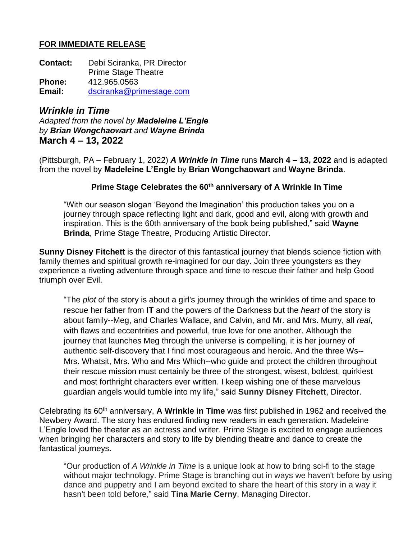### **FOR IMMEDIATE RELEASE**

**Contact:** Debi Sciranka, PR Director Prime Stage Theatre **Phone:** 412.965.0563 **Email:** [dsciranka@primestage.com](mailto:dsciranka@primestage.com)

*Wrinkle in Time Adapted from the novel by Madeleine L'Engle by Brian Wongchaowart and Wayne Brinda* **March 4 – 13, 2022**

(Pittsburgh, PA – February 1, 2022) *A Wrinkle in Time* runs **March 4 – 13, 2022** and is adapted from the novel by **Madeleine L'Engle** by **Brian Wongchaowart** and **Wayne Brinda**.

## **Prime Stage Celebrates the 60th anniversary of A Wrinkle In Time**

"With our season slogan 'Beyond the Imagination' this production takes you on a journey through space reflecting light and dark, good and evil, along with growth and inspiration. This is the 60th anniversary of the book being published," said **Wayne Brinda**, Prime Stage Theatre, Producing Artistic Director.

**Sunny Disney Fitchett** is the director of this fantastical journey that blends science fiction with family themes and spiritual growth re-imagined for our day. Join three youngsters as they experience a riveting adventure through space and time to rescue their father and help Good triumph over Evil.

"The *plot* of the story is about a girl's journey through the wrinkles of time and space to rescue her father from **IT** and the powers of the Darkness but the *heart* of the story is about family--Meg, and Charles Wallace, and Calvin, and Mr. and Mrs. Murry, all *real*, with flaws and eccentrities and powerful, true love for one another. Although the journey that launches Meg through the universe is compelling, it is her journey of authentic self-discovery that I find most courageous and heroic. And the three Ws-- Mrs. Whatsit, Mrs. Who and Mrs Which--who guide and protect the children throughout their rescue mission must certainly be three of the strongest, wisest, boldest, quirkiest and most forthright characters ever written. I keep wishing one of these marvelous guardian angels would tumble into my life," said **Sunny Disney Fitchett**, Director.

Celebrating its 60th anniversary, **A Wrinkle in Time** was first published in 1962 and received the Newbery Award. The story has endured finding new readers in each generation. Madeleine L'Engle loved the theater as an actress and writer. Prime Stage is excited to engage audiences when bringing her characters and story to life by blending theatre and dance to create the fantastical journeys.

"Our production of *A Wrinkle in Time* is a unique look at how to bring sci-fi to the stage without major technology. Prime Stage is branching out in ways we haven't before by using dance and puppetry and I am beyond excited to share the heart of this story in a way it hasn't been told before," said **Tina Marie Cerny**, Managing Director.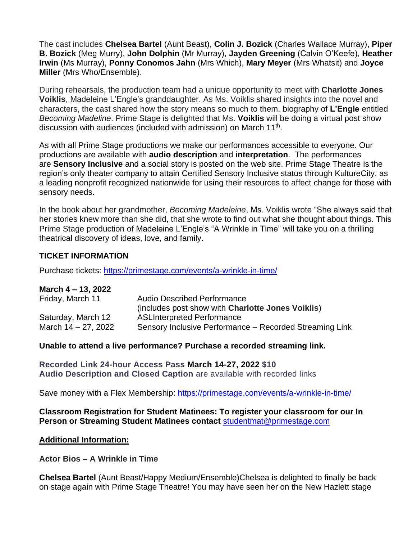The cast includes **Chelsea Bartel** (Aunt Beast), **Colin J. Bozick** (Charles Wallace Murray), **Piper B. Bozick** (Meg Murry), **John Dolphin** (Mr Murray), **Jayden Greening** (Calvin O'Keefe), **Heather Irwin** (Ms Murray), **Ponny Conomos Jahn** (Mrs Which), **Mary Meyer** (Mrs Whatsit) and **Joyce Miller** (Mrs Who/Ensemble).

During rehearsals, the production team had a unique opportunity to meet with **Charlotte Jones Voiklis**, Madeleine L'Engle's granddaughter. As Ms. Voiklis shared insights into the novel and characters, the cast shared how the story means so much to them. biography of **L'Engle** entitled *Becoming Madeline*. Prime Stage is delighted that Ms. **Voiklis** will be doing a virtual post show discussion with audiences (included with admission) on March 11<sup>th</sup>.

As with all Prime Stage productions we make our performances accessible to everyone. Our productions are available with **audio description** and **interpretation**. The performances are **Sensory Inclusive** and a social story is posted on the web site. Prime Stage Theatre is the region's only theater company to attain Certified Sensory Inclusive status through KultureCity, as a leading nonprofit recognized nationwide for using their resources to affect change for those with sensory needs.

In the book about her grandmother, *Becoming Madeleine*, Ms. Voiklis wrote "She always said that her stories knew more than she did, that she wrote to find out what she thought about things. This Prime Stage production of Madeleine L'Engle's "A Wrinkle in Time" will take you on a thrilling theatrical discovery of ideas, love, and family.

# **TICKET INFORMATION**

Purchase tickets:<https://primestage.com/events/a-wrinkle-in-time/>

#### **March 4 – 13, 2022**

| Friday, March 11    | <b>Audio Described Performance</b><br>(includes post show with Charlotte Jones Voiklis) |
|---------------------|-----------------------------------------------------------------------------------------|
| Saturday, March 12  | <b>ASLInterpreted Performance</b>                                                       |
| March 14 – 27, 2022 | Sensory Inclusive Performance - Recorded Streaming Link                                 |

#### **Unable to attend a live performance? Purchase a recorded streaming link.**

**Recorded Link 24-hour Access Pass March 14-27, 2022 \$10 Audio Description and Closed Caption** are available with recorded links

Save money with a Flex Membership:<https://primestage.com/events/a-wrinkle-in-time/>

#### **Classroom Registration for Student Matinees: To register your classroom for our In Person or Streaming Student Matinees contact** [studentmat@primestage.com](mailto:studentmat@primestage.com)

#### **Additional Information:**

**Actor Bios – A Wrinkle in Time**

**Chelsea Bartel** (Aunt Beast/Happy Medium/Ensemble)Chelsea is delighted to finally be back on stage again with Prime Stage Theatre! You may have seen her on the New Hazlett stage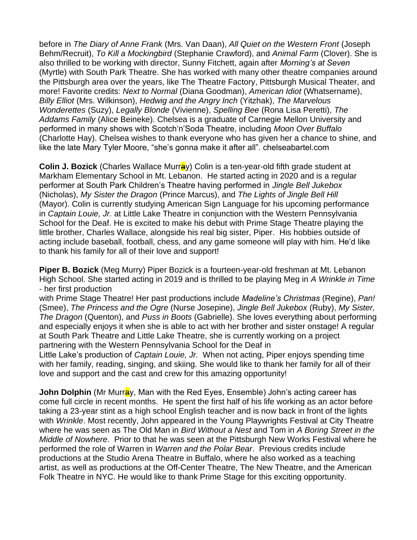before in *The Diary of Anne Frank* (Mrs. Van Daan), *All Quiet on the Western Front* (Joseph Behm/Recruit), *To Kill a Mockingbird* (Stephanie Crawford), and *Animal Farm* (Clover). She is also thrilled to be working with director, Sunny Fitchett, again after *Morning's at Seven*  (Myrtle) with South Park Theatre. She has worked with many other theatre companies around the Pittsburgh area over the years, like The Theatre Factory, Pittsburgh Musical Theater, and more! Favorite credits: *Next to Normal* (Diana Goodman), *American Idiot* (Whatsername), *Billy Elliot* (Mrs. Wilkinson), *Hedwig and the Angry Inch* (Yitzhak), *The Marvelous Wonderettes* (Suzy), *Legally Blonde* (Vivienne), *Spelling Bee* (Rona Lisa Peretti), *The Addams Family* (Alice Beineke). Chelsea is a graduate of Carnegie Mellon University and performed in many shows with Scotch'n'Soda Theatre, including *Moon Over Buffalo*  (Charlotte Hay). Chelsea wishes to thank everyone who has given her a chance to shine, and like the late Mary Tyler Moore, "she's gonna make it after all". chelseabartel.com

**Colin J. Bozick** (Charles Wallace Murray) Colin is a ten-year-old fifth grade student at Markham Elementary School in Mt. Lebanon. He started acting in 2020 and is a regular performer at South Park Children's Theatre having performed in *Jingle Bell Jukebox*  (Nicholas), *My Sister the Dragon* (Prince Marcus), and *The Lights of Jingle Bell Hill* (Mayor). Colin is currently studying American Sign Language for his upcoming performance in *Captain Louie, Jr.* at Little Lake Theatre in conjunction with the Western Pennsylvania School for the Deaf. He is excited to make his debut with Prime Stage Theatre playing the little brother, Charles Wallace, alongside his real big sister, Piper. His hobbies outside of acting include baseball, football, chess, and any game someone will play with him. He'd like to thank his family for all of their love and support!

**Piper B. Bozick** (Meg Murry) Piper Bozick is a fourteen-year-old freshman at Mt. Lebanon High School. She started acting in 2019 and is thrilled to be playing Meg in *A Wrinkle in Time* - her first production

with Prime Stage Theatre! Her past productions include *Madeline's Christmas* (Regine), *Pan!* (Smee), *The Princess and the Ogre* (Nurse Josepine), *Jingle Bell Jukebox* (Ruby), *My Sister, The Dragon* (Quenton), and *Puss in Boots* (Gabrielle). She loves everything about performing and especially enjoys it when she is able to act with her brother and sister onstage! A regular at South Park Theatre and Little Lake Theatre, she is currently working on a project partnering with the Western Pennsylvania School for the Deaf in

Little Lake's production of *Captain Louie, Jr.* When not acting, Piper enjoys spending time with her family, reading, singing, and skiing. She would like to thank her family for all of their love and support and the cast and crew for this amazing opportunity!

**John Dolphin** (Mr Murray, Man with the Red Eyes, Ensemble) John's acting career has come full circle in recent months. He spent the first half of his life working as an actor before taking a 23-year stint as a high school English teacher and is now back in front of the lights with *Wrinkle*. Most recently, John appeared in the Young Playwrights Festival at City Theatre where he was seen as The Old Man in *Bird Without a Nest* and Tom in *A Boring Street in the Middle of Nowhere*. Prior to that he was seen at the Pittsburgh New Works Festival where he performed the role of Warren in *Warren and the Polar Bear*. Previous credits include productions at the Studio Arena Theatre in Buffalo, where he also worked as a teaching artist, as well as productions at the Off-Center Theatre, The New Theatre, and the American Folk Theatre in NYC. He would like to thank Prime Stage for this exciting opportunity.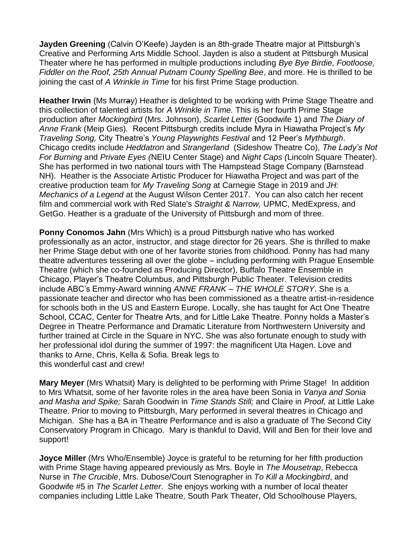**Jayden Greening** (Calvin O'Keefe) Jayden is an 8th-grade Theatre major at Pittsburgh's Creative and Performing Arts Middle School. Jayden is also a student at Pittsburgh Musical Theater where he has performed in multiple productions including *Bye Bye Birdie, Footloose, Fiddler on the Roof, 25th Annual Putnam County Spelling Bee*, and more. He is thrilled to be joining the cast of *A Wrinkle in Time* for his first Prime Stage production.

**Heather Irwin** (Ms Murray) Heather is delighted to be working with Prime Stage Theatre and this collection of talented artists for *A Wrinkle in Time.* This is her fourth Prime Stage production after *Mockingbird* (Mrs. Johnson), *Scarlet Letter* (Goodwife 1) and *The Diary of Anne Frank* (Meip Gies)*.* Recent Pittsburgh credits include Myra in Hiawatha Project's *My Traveling Song,* City Theatre's *Young Playwrights Festival* and 12 Peer's *Mythburgh*. Chicago credits include *Heddatron* and *Strangerland* (Sideshow Theatre Co), *The Lady's Not For Burning* and *Private Eyes (*NEIU Center Stage) and *Night Caps (*Lincoln Square Theater). She has performed in two national tours with The Hampstead Stage Company (Barnstead NH). Heather is the Associate Artistic Producer for Hiawatha Project and was part of the creative production team for *My Traveling Song* at Carnegie Stage in 2019 and *JH: Mechanics of a Legend* at the August Wilson Center 2017. You can also catch her recent film and commercial work with Red Slate's *Straight & Narrow,* UPMC, MedExpress, and GetGo. Heather is a graduate of the University of Pittsburgh and mom of three.

**Ponny Conomos Jahn** (Mrs Which) is a proud Pittsburgh native who has worked professionally as an actor, instructor, and stage director for 26 years. She is thrilled to make her Prime Stage debut with one of her favorite stories from childhood. Ponny has had many theatre adventures tessering all over the globe – including performing with Prague Ensemble Theatre (which she co-founded as Producing Director), Buffalo Theatre Ensemble in Chicago, Player's Theatre Columbus, and Pittsburgh Public Theater. Television credits include ABC's Emmy-Award winning *ANNE FRANK – THE WHOLE STORY*. She is a passionate teacher and director who has been commissioned as a theatre artist-in-residence for schools both in the US and Eastern Europe. Locally, she has taught for Act One Theatre School, CCAC, Center for Theatre Arts, and for Little Lake Theatre. Ponny holds a Master's Degree in Theatre Performance and Dramatic Literature from Northwestern University and further trained at Circle in the Square in NYC. She was also fortunate enough to study with her professional idol during the summer of 1997: the magnificent Uta Hagen. Love and thanks to Arne, Chris, Kella & Sofia. Break legs to this wonderful cast and crew!

**Mary Meyer** (Mrs Whatsit) Mary is delighted to be performing with Prime Stage! In addition to Mrs Whatsit, some of her favorite roles in the area have been Sonia in *Vanya and Sonia and Masha and Spike;* Sarah Goodwin in *Time Stands Still;* and Claire in *Proof,* at Little Lake Theatre. Prior to moving to Pittsburgh, Mary performed in several theatres in Chicago and Michigan. She has a BA in Theatre Performance and is also a graduate of The Second City Conservatory Program in Chicago. Mary is thankful to David, Will and Ben for their love and support!

**Joyce Miller** (Mrs Who/Ensemble) Joyce is grateful to be returning for her fifth production with Prime Stage having appeared previously as Mrs. Boyle in *The Mousetrap*, Rebecca Nurse in *The Crucible*, Mrs. Dubose/Court Stenographer in *To Kill a Mockingbird*, and Goodwife #5 in *The Scarlet Letter*. She enjoys working with a number of local theater companies including Little Lake Theatre, South Park Theater, Old Schoolhouse Players,